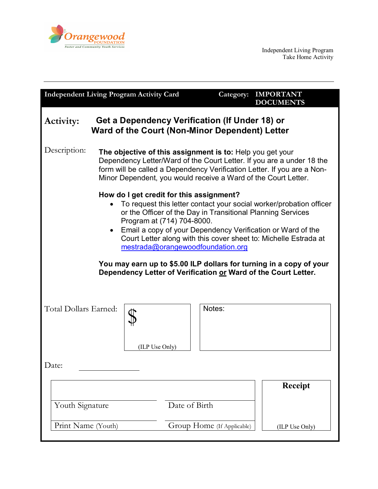

| <b>Independent Living Program Activity Card</b>                                                                                                                                                                                                                                                                                                                                                                                                                                                                               |                                                                                                                                                                                                                                                                                 |                            | Category: | <b>IMPORTANT</b><br><b>DOCUMENTS</b> |
|-------------------------------------------------------------------------------------------------------------------------------------------------------------------------------------------------------------------------------------------------------------------------------------------------------------------------------------------------------------------------------------------------------------------------------------------------------------------------------------------------------------------------------|---------------------------------------------------------------------------------------------------------------------------------------------------------------------------------------------------------------------------------------------------------------------------------|----------------------------|-----------|--------------------------------------|
| Get a Dependency Verification (If Under 18) or<br><b>Activity:</b><br>Ward of the Court (Non-Minor Dependent) Letter                                                                                                                                                                                                                                                                                                                                                                                                          |                                                                                                                                                                                                                                                                                 |                            |           |                                      |
| Description:                                                                                                                                                                                                                                                                                                                                                                                                                                                                                                                  | The objective of this assignment is to: Help you get your<br>Dependency Letter/Ward of the Court Letter. If you are a under 18 the<br>form will be called a Dependency Verification Letter. If you are a Non-<br>Minor Dependent, you would receive a Ward of the Court Letter. |                            |           |                                      |
| How do I get credit for this assignment?<br>To request this letter contact your social worker/probation officer<br>or the Officer of the Day in Transitional Planning Services<br>Program at (714) 704-8000.<br>Email a copy of your Dependency Verification or Ward of the<br>Court Letter along with this cover sheet to: Michelle Estrada at<br>mestrada@orangewoodfoundation.org<br>You may earn up to \$5.00 ILP dollars for turning in a copy of your<br>Dependency Letter of Verification or Ward of the Court Letter. |                                                                                                                                                                                                                                                                                 |                            |           |                                      |
| Total Dollars Earned:                                                                                                                                                                                                                                                                                                                                                                                                                                                                                                         | (ILP Use Only)                                                                                                                                                                                                                                                                  |                            | Notes:    |                                      |
| Date:                                                                                                                                                                                                                                                                                                                                                                                                                                                                                                                         |                                                                                                                                                                                                                                                                                 |                            |           |                                      |
|                                                                                                                                                                                                                                                                                                                                                                                                                                                                                                                               |                                                                                                                                                                                                                                                                                 |                            |           | <b>Receipt</b>                       |
| Youth Signature                                                                                                                                                                                                                                                                                                                                                                                                                                                                                                               |                                                                                                                                                                                                                                                                                 | Date of Birth              |           |                                      |
| Print Name (Youth)                                                                                                                                                                                                                                                                                                                                                                                                                                                                                                            |                                                                                                                                                                                                                                                                                 | Group Home (If Applicable) |           | (ILP Use Only)                       |